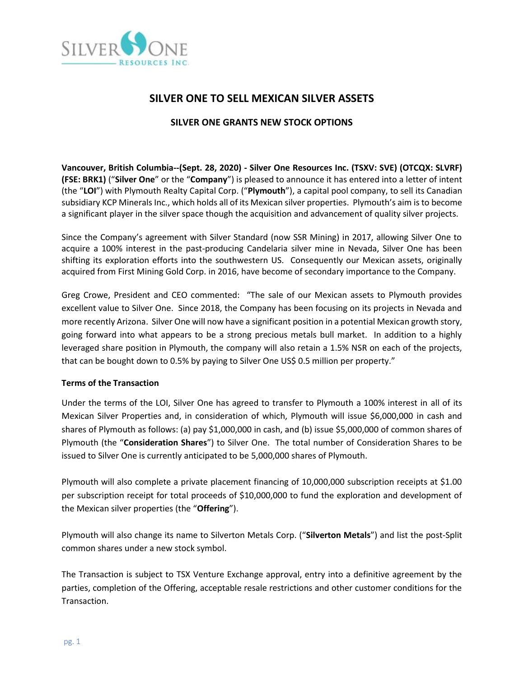

# **SILVER ONE TO SELL MEXICAN SILVER ASSETS**

# **SILVER ONE GRANTS NEW STOCK OPTIONS**

**Vancouver, British Columbia--(Sept. 28, 2020) - Silver One Resources Inc. (TSXV: SVE) (OTCQX: SLVRF) (FSE: BRK1)** ("**Silver One**" or the "**Company**") is pleased to announce it has entered into a letter of intent (the "**LOI**") with Plymouth Realty Capital Corp. ("**Plymouth**"), a capital pool company, to sell its Canadian subsidiary KCP Minerals Inc., which holds all of its Mexican silver properties. Plymouth's aim is to become a significant player in the silver space though the acquisition and advancement of quality silver projects.

Since the Company's agreement with Silver Standard (now SSR Mining) in 2017, allowing Silver One to acquire a 100% interest in the past-producing Candelaria silver mine in Nevada, Silver One has been shifting its exploration efforts into the southwestern US. Consequently our Mexican assets, originally acquired from First Mining Gold Corp. in 2016, have become of secondary importance to the Company.

Greg Crowe, President and CEO commented: "The sale of our Mexican assets to Plymouth provides excellent value to Silver One. Since 2018, the Company has been focusing on its projects in Nevada and more recently Arizona. Silver One will now have a significant position in a potential Mexican growth story, going forward into what appears to be a strong precious metals bull market. In addition to a highly leveraged share position in Plymouth, the company will also retain a 1.5% NSR on each of the projects, that can be bought down to 0.5% by paying to Silver One US\$ 0.5 million per property."

## **Terms of the Transaction**

Under the terms of the LOI, Silver One has agreed to transfer to Plymouth a 100% interest in all of its Mexican Silver Properties and, in consideration of which, Plymouth will issue \$6,000,000 in cash and shares of Plymouth as follows: (a) pay \$1,000,000 in cash, and (b) issue \$5,000,000 of common shares of Plymouth (the "**Consideration Shares**") to Silver One. The total number of Consideration Shares to be issued to Silver One is currently anticipated to be 5,000,000 shares of Plymouth.

Plymouth will also complete a private placement financing of 10,000,000 subscription receipts at \$1.00 per subscription receipt for total proceeds of \$10,000,000 to fund the exploration and development of the Mexican silver properties (the "**Offering**").

Plymouth will also change its name to Silverton Metals Corp. ("**Silverton Metals**") and list the post-Split common shares under a new stock symbol.

The Transaction is subject to TSX Venture Exchange approval, entry into a definitive agreement by the parties, completion of the Offering, acceptable resale restrictions and other customer conditions for the Transaction.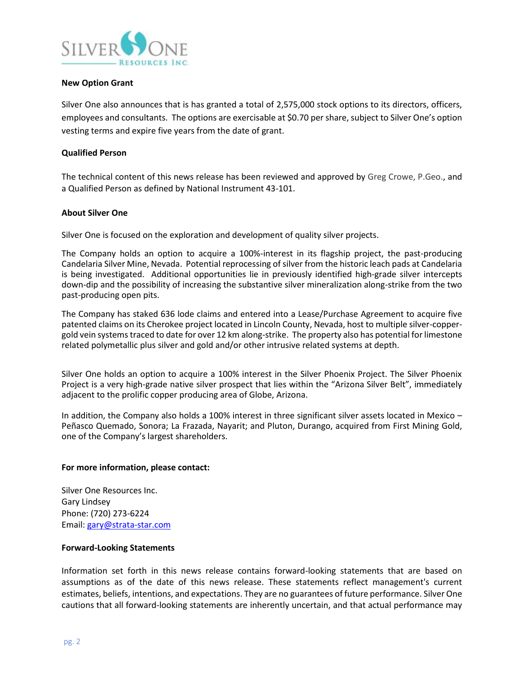

### **New Option Grant**

Silver One also announces that is has granted a total of 2,575,000 stock options to its directors, officers, employees and consultants. The options are exercisable at \$0.70 per share, subject to Silver One's option vesting terms and expire five years from the date of grant.

### **Qualified Person**

The technical content of this news release has been reviewed and approved by Greg Crowe, P.Geo., and a Qualified Person as defined by National Instrument 43-101.

### **About Silver One**

Silver One is focused on the exploration and development of quality silver projects.

The Company holds an option to acquire a 100%-interest in its flagship project, the past-producing Candelaria Silver Mine, Nevada. Potential reprocessing of silver from the historic leach pads at Candelaria is being investigated. Additional opportunities lie in previously identified high-grade silver intercepts down-dip and the possibility of increasing the substantive silver mineralization along-strike from the two past-producing open pits.

The Company has staked 636 lode claims and entered into a Lease/Purchase Agreement to acquire five patented claims on its Cherokee project located in Lincoln County, Nevada, host to multiple silver-coppergold vein systemstraced to date for over 12 km along-strike. The property also has potential for limestone related polymetallic plus silver and gold and/or other intrusive related systems at depth.

Silver One holds an option to acquire a 100% interest in the Silver Phoenix Project. The Silver Phoenix Project is a very high-grade native silver prospect that lies within the "Arizona Silver Belt", immediately adjacent to the prolific copper producing area of Globe, Arizona.

In addition, the Company also holds a 100% interest in three significant silver assets located in Mexico – Peñasco Quemado, Sonora; La Frazada, Nayarit; and Pluton, Durango, acquired from First Mining Gold, one of the Company's largest shareholders.

#### **For more information, please contact:**

Silver One Resources Inc. Gary Lindsey Phone: (720) 273-6224 Email: [gary@strata-star.com](mailto:gary@strata-star.com)

#### **Forward-Looking Statements**

Information set forth in this news release contains forward-looking statements that are based on assumptions as of the date of this news release. These statements reflect management's current estimates, beliefs, intentions, and expectations. They are no guarantees of future performance. Silver One cautions that all forward-looking statements are inherently uncertain, and that actual performance may